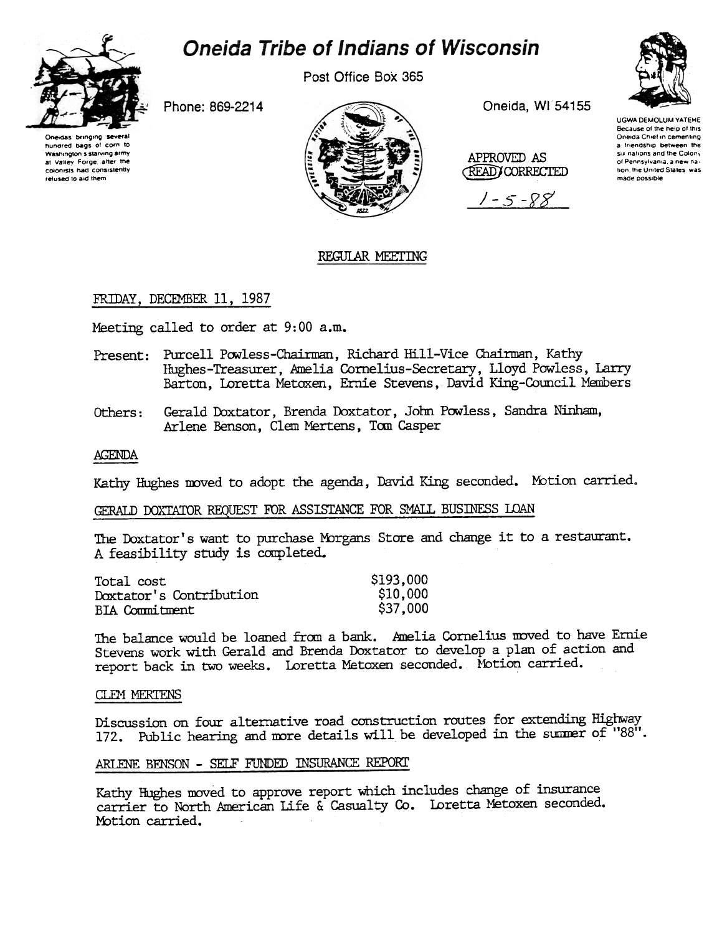

# **Oneida Tribe of Indians of Wisconsin**

Post Office Box 365

Phone: 869-2214





Oneida, WI 54155

APPROVED AS (READ) CORRECTED

1 - 5 - P.P



**UGWA DEMOLUM YATEHE** Because of the help of this Oneida Chief in cementing a friendship between the six nations and the Colony of Pennsylvania, a new nation, the United States, was made possible

## REGULAR MEETING

## FRIDAY, DECEMBER 11, 1987

Meeting called to order at 9:00 a.m.

- Present: Purcell Powless-Chairman, Richard Hill-Vice Chairman, Kathy Hughes-Treasurer, Amelia Cornelius-Secretary, Lloyd Powless, Larry Barton, Loretta Metoxen, Ernie Stevens, David King-Council Members
- Gerald Doxtator, Brenda Doxtator, John Powless, Sandra Ninham, Others: Arlene Benson, Clem Mertens, Tom Casper

#### **AGENDA**

Kathy Hughes moved to adopt the agenda, David King seconded. Motion carried.

GERALD DOXTATOR REQUEST FOR ASSISTANCE FOR SMALL BUSINESS LOAN

The Doxtator's want to purchase Morgans Store and change it to a restaurant. A feasibility study is completed.

| Total cost              | \$193,000 |
|-------------------------|-----------|
| Doxtator's Contribution | \$10,000  |
| BIA Commitment          | \$37,000  |

The balance would be loaned from a bank. Amelia Cornelius moved to have Ernie Stevens work with Gerald and Brenda Doxtator to develop a plan of action and report back in two weeks. Loretta Metoxen seconded. Notion carried.

#### CLEM MERTENS

Discussion on four alternative road construction routes for extending Highway 172. Public hearing and more details will be developed in the summer of "88".

ARLENE BENSON - SELF FUNDED INSURANCE REPORT

Kathy Hughes moved to approve report which includes change of insurance carrier to North American Life & Casualty Co. Loretta Metoxen seconded. Motion carried.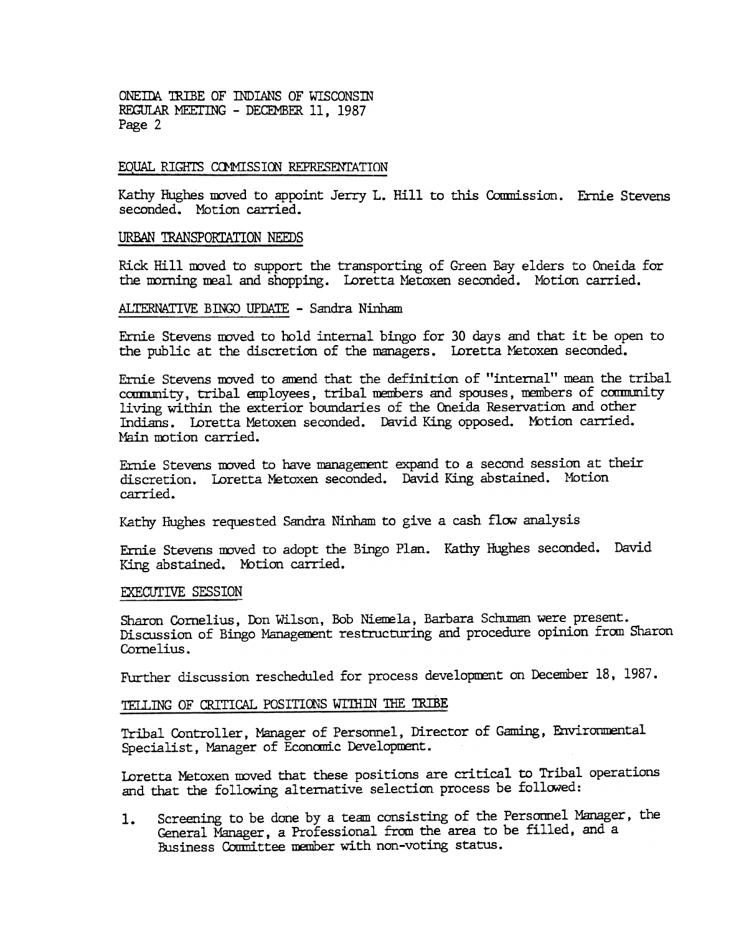ONETDA TRIBE OF INDIANS OF WISCONSIN REGULAR MEETING - DECEMBER 11, 1987 Page 2

#### EQUAL RIGHTS COMMISSION REPRESENTATION

Kathy Hughes moved to appoint Jerry L. Hill to this Commission. Ernie Stevens seconded. Motion carried.

#### URBAN TRANSPORTATION NEEDS

Rick Hill moved to support the transporting of Green Bay elders to Oneida for the morning meal and shopping. Loretta Metoxen seconded. Motion carried.

#### ALTERNATIVE BINGO UPDATE - Sandra Ninham

Ernie Stevens moved to hold internal bingo for 30 days and that it be open to the public at the discretion of the managers. Loretta Metoxen seconded.

Ernie Stevens moved to amend that the definition of "internal" mean the tribal community, tribal employees, tribal members and spouses, members of community living within the exterior boundaries of the Oneida Reservation and other Indians. Loretta Metoxen seconded. David King opposed. Motion carried. Main motion carried.

Ernie Stevens moved to have management expand to a second session at their discretion. Loretta Metoxen seconded. David King abstained. Motion carried.

Kathy Hughes requested Sandra Ninham to give a cash flow analysis

Ernie Stevens moved to adopt the Bingo Plan. Kathy Hughes seconded. David King abstained. Motion carried.

#### EXECUTIVE SESSION

Sharon Cornelius, Don Wilson, Bob Niemela, Barbara Schuman were present. Discussion of Bingo Management restructuring and procedure opinion from Sharon Cornelius.

Further discussion rescheduled for process development on December 18, 1987.

### TELLING OF CRITICAL POSITIONS WITHIN THE TRIBE

Tribal Controller, Manager of Personnel, Director of Gaming, Environmental Specialist, Manager of Economic Development.

Loretta Metoxen noved that these positions are critical to Tribal operations and that the following alternative selection process be followed:

Screening to be done by a team consisting of the Personnel Manager, the  $1.$ General Manager, a Professional from the area to be filled, and a Business Committee member with non-voting status.